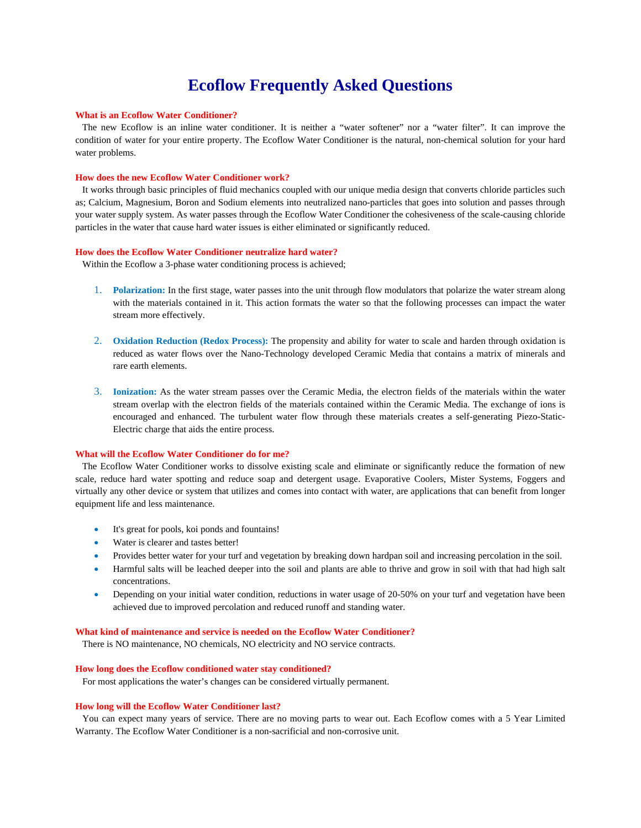# **Ecoflow Frequently Asked Questions**

### **What is an Ecoflow Water Conditioner?**

 The new Ecoflow is an inline water conditioner. It is neither a "water softener" nor a "water filter". It can improve the condition of water for your entire property. The Ecoflow Water Conditioner is the natural, non-chemical solution for your hard water problems.

#### **How does the new Ecoflow Water Conditioner work?**

 It works through basic principles of fluid mechanics coupled with our unique media design that converts chloride particles such as; Calcium, Magnesium, Boron and Sodium elements into neutralized nano-particles that goes into solution and passes through your water supply system. As water passes through the Ecoflow Water Conditioner the cohesiveness of the scale-causing chloride particles in the water that cause hard water issues is either eliminated or significantly reduced.

## **How does the Ecoflow Water Conditioner neutralize hard water?**

Within the Ecoflow a 3-phase water conditioning process is achieved;

- 1. **Polarization:** In the first stage, water passes into the unit through flow modulators that polarize the water stream along with the materials contained in it. This action formats the water so that the following processes can impact the water stream more effectively.
- 2. **Oxidation Reduction (Redox Process):** The propensity and ability for water to scale and harden through oxidation is reduced as water flows over the Nano-Technology developed Ceramic Media that contains a matrix of minerals and rare earth elements.
- 3. **Ionization:** As the water stream passes over the Ceramic Media, the electron fields of the materials within the water stream overlap with the electron fields of the materials contained within the Ceramic Media. The exchange of ions is encouraged and enhanced. The turbulent water flow through these materials creates a self-generating Piezo-Static-Electric charge that aids the entire process.

# **What will the Ecoflow Water Conditioner do for me?**

 The Ecoflow Water Conditioner works to dissolve existing scale and eliminate or significantly reduce the formation of new scale, reduce hard water spotting and reduce soap and detergent usage. Evaporative Coolers, Mister Systems, Foggers and virtually any other device or system that utilizes and comes into contact with water, are applications that can benefit from longer equipment life and less maintenance.

- It's great for pools, koi ponds and fountains!
- Water is clearer and tastes better!
- Provides better water for your turf and vegetation by breaking down hardpan soil and increasing percolation in the soil.
- Harmful salts will be leached deeper into the soil and plants are able to thrive and grow in soil with that had high salt concentrations.
- Depending on your initial water condition, reductions in water usage of 20-50% on your turf and vegetation have been achieved due to improved percolation and reduced runoff and standing water.

#### **What kind of maintenance and service is needed on the Ecoflow Water Conditioner?**

There is NO maintenance, NO chemicals, NO electricity and NO service contracts.

## **How long does the Ecoflow conditioned water stay conditioned?**

For most applications the water's changes can be considered virtually permanent.

#### **How long will the Ecoflow Water Conditioner last?**

 You can expect many years of service. There are no moving parts to wear out. Each Ecoflow comes with a 5 Year Limited Warranty. The Ecoflow Water Conditioner is a non-sacrificial and non-corrosive unit.